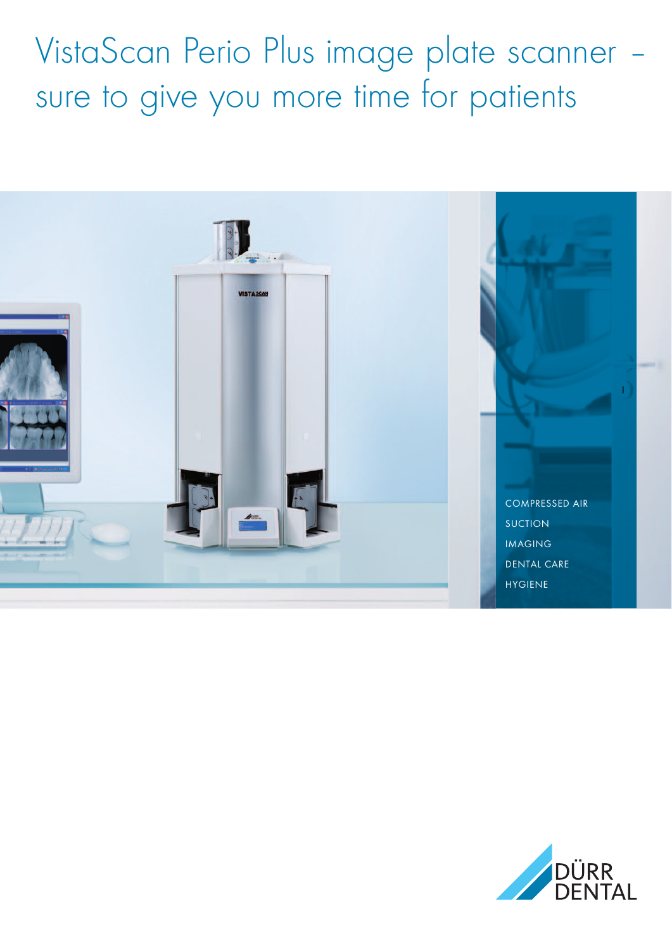VistaScan Perio Plus image plate scanner – sure to give you more time for patients



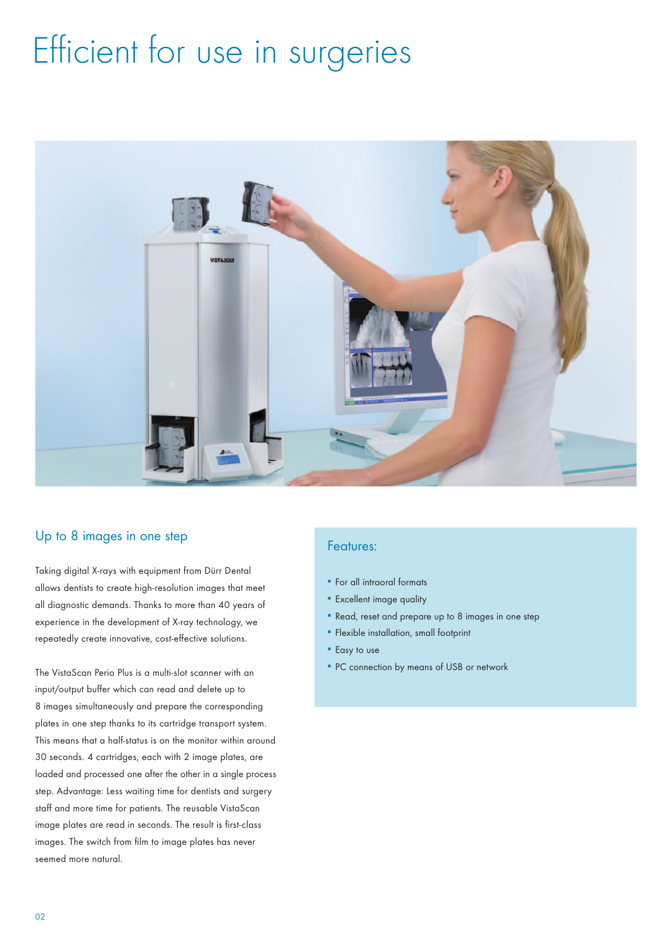## Efficient for use in surgeries



### Up to 8 images in one step

Taking digital X-rays with equipment from Dürr Dental allows dentists to create high-resolution images that meet all diagnostic demands. Thanks to more than 40 years of experience in the development of X-ray technology, we repeatedly create innovative, cost-effective solutions.

The VistaScan Perio Plus is a multi-slot scanner with an input/output buffer which can read and delete up to 8 images simultaneously and prepare the corresponding plates in one step thanks to its cartridge transport system. This means that a half-status is on the monitor within around 30 seconds. 4 cartridges, each with 2 image plates, are loaded and processed one after the other in a single process step. Advantage: Less waiting time for dentists and surgery staff and more time for patients. The reusable VistaScan image plates are read in seconds. The result is first-class images. The switch from film to image plates has never seemed more natural.

### Features:

- For all intraoral formats
- **Excellent image quality**
- Read, reset and prepare up to 8 images in one step
- **Flexible installation, small footprint**
- **Easy** to use
- **PC** connection by means of USB or network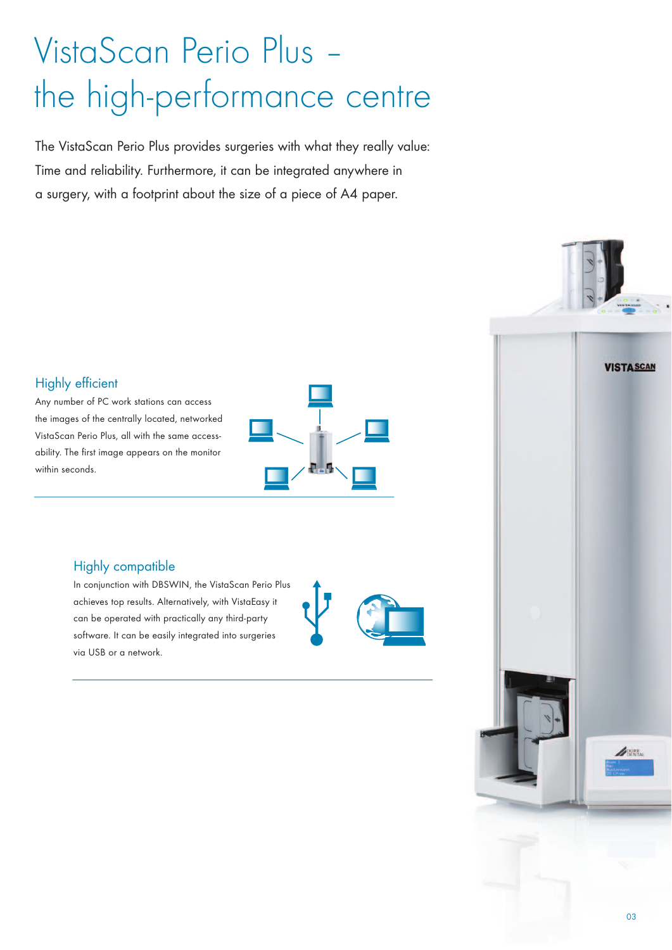# VistaScan Perio Plus – the high-performance centre

The VistaScan Perio Plus provides surgeries with what they really value: Time and reliability. Furthermore, it can be integrated anywhere in a surgery, with a footprint about the size of a piece of A4 paper.

## Highly efficient

Any number of PC work stations can access the images of the centrally located, networked VistaScan Perio Plus, all with the same accessability. The first image appears on the monitor within seconds.



### Highly compatible

In conjunction with DBSWIN, the VistaScan Perio Plus achieves top results. Alternatively, with VistaEasy it can be operated with practically any third-party software. It can be easily integrated into surgeries via USB or a network.



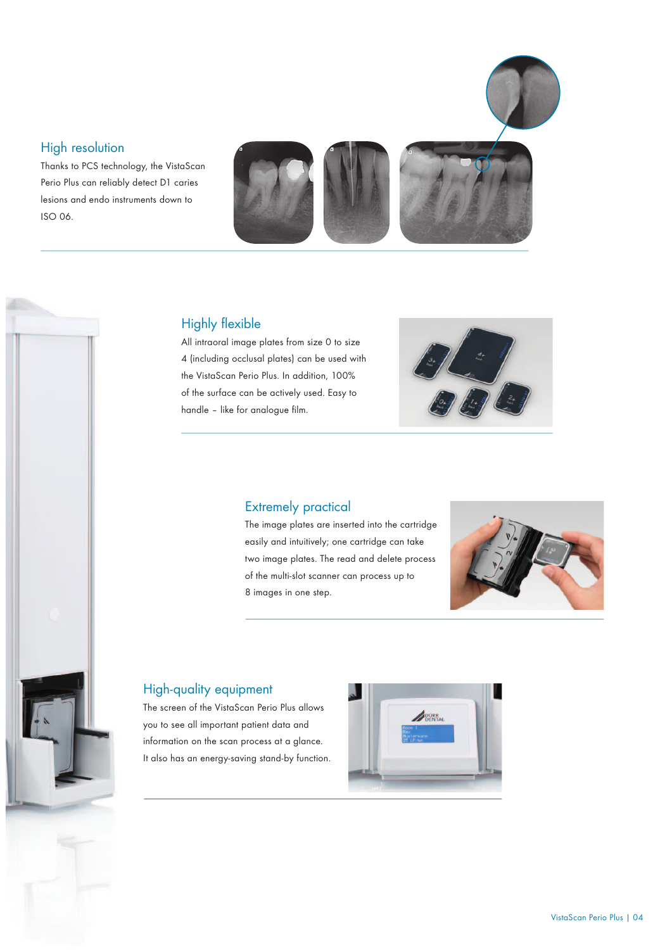### High resolution

Thanks to PCS technology, the VistaScan Perio Plus can reliably detect D1 caries lesions and endo instruments down to ISO 06.



### Highly flexible

All intraoral image plates from size 0 to size 4 (including occlusal plates) can be used with the VistaScan Perio Plus. In addition, 100% of the surface can be actively used. Easy to handle – like for analogue film.



### Extremely practical

The image plates are inserted into the cartridge easily and intuitively; one cartridge can take two image plates. The read and delete process of the multi-slot scanner can process up to 8 images in one step.



## High-quality equipment

The screen of the VistaScan Perio Plus allows you to see all important patient data and information on the scan process at a glance. It also has an energy-saving stand-by function.

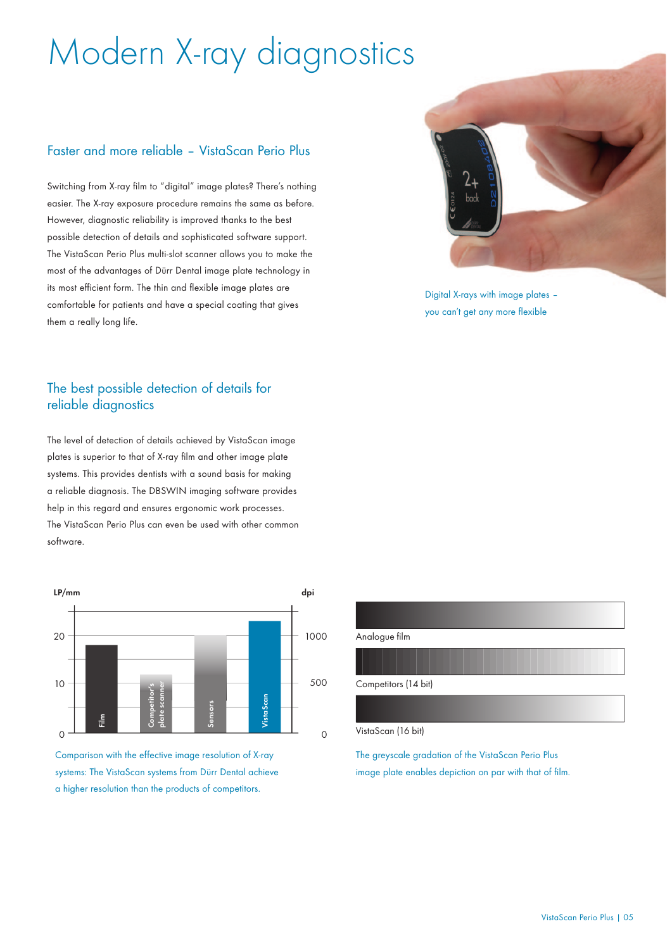# Modern X-ray diagnostics

### Faster and more reliable – VistaScan Perio Plus

Switching from X-ray film to "digital" image plates? There's nothing easier. The X-ray exposure procedure remains the same as before. However, diagnostic reliability is improved thanks to the best possible detection of details and sophisticated software support. The VistaScan Perio Plus multi-slot scanner allows you to make the most of the advantages of Dürr Dental image plate technology in its most efficient form. The thin and flexible image plates are comfortable for patients and have a special coating that gives them a really long life.

### The best possible detection of details for reliable diagnostics

The level of detection of details achieved by VistaScan image plates is superior to that of X-ray film and other image plate systems. This provides dentists with a sound basis for making a reliable diagnosis. The DBSWIN imaging software provides help in this regard and ensures ergonomic work processes. The VistaScan Perio Plus can even be used with other common software.



Comparison with the effective image resolution of X-ray systems: The VistaScan systems from Dürr Dental achieve



Digital X-rays with image plates – you can't get any more flexible

### Analogue film

#### Competitors (14 bit)

#### VistaScan (16 bit)

The greyscale gradation of the VistaScan Perio Plus image plate enables depiction on par with that of film.